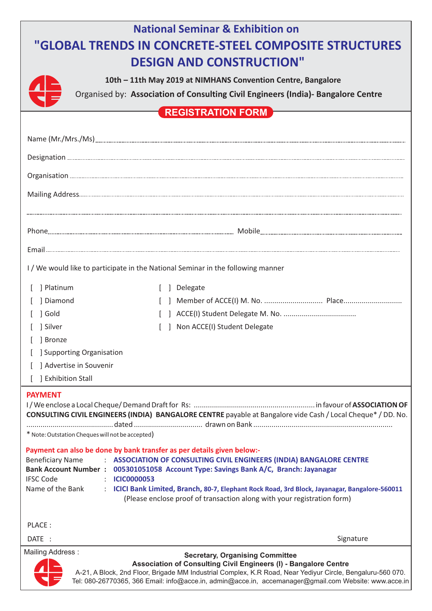| <b>National Seminar &amp; Exhibition on</b><br>"GLOBAL TRENDS IN CONCRETE-STEEL COMPOSITE STRUCTURES                                                                                                                                                                                                                                                                                                                                                                                                         |
|--------------------------------------------------------------------------------------------------------------------------------------------------------------------------------------------------------------------------------------------------------------------------------------------------------------------------------------------------------------------------------------------------------------------------------------------------------------------------------------------------------------|
| <b>DESIGN AND CONSTRUCTION"</b>                                                                                                                                                                                                                                                                                                                                                                                                                                                                              |
| 10th - 11th May 2019 at NIMHANS Convention Centre, Bangalore                                                                                                                                                                                                                                                                                                                                                                                                                                                 |
| Organised by: Association of Consulting Civil Engineers (India)- Bangalore Centre                                                                                                                                                                                                                                                                                                                                                                                                                            |
| <b>REGISTRATION FORM</b>                                                                                                                                                                                                                                                                                                                                                                                                                                                                                     |
|                                                                                                                                                                                                                                                                                                                                                                                                                                                                                                              |
|                                                                                                                                                                                                                                                                                                                                                                                                                                                                                                              |
|                                                                                                                                                                                                                                                                                                                                                                                                                                                                                                              |
|                                                                                                                                                                                                                                                                                                                                                                                                                                                                                                              |
|                                                                                                                                                                                                                                                                                                                                                                                                                                                                                                              |
|                                                                                                                                                                                                                                                                                                                                                                                                                                                                                                              |
|                                                                                                                                                                                                                                                                                                                                                                                                                                                                                                              |
|                                                                                                                                                                                                                                                                                                                                                                                                                                                                                                              |
| I/We would like to participate in the National Seminar in the following manner                                                                                                                                                                                                                                                                                                                                                                                                                               |
| ] Platinum<br>] Delegate                                                                                                                                                                                                                                                                                                                                                                                                                                                                                     |
| ] Diamond                                                                                                                                                                                                                                                                                                                                                                                                                                                                                                    |
| ] Gold                                                                                                                                                                                                                                                                                                                                                                                                                                                                                                       |
| Non ACCE(I) Student Delegate<br>] Silver                                                                                                                                                                                                                                                                                                                                                                                                                                                                     |
| ] Bronze<br>Supporting Organisation                                                                                                                                                                                                                                                                                                                                                                                                                                                                          |
| ] Advertise in Souvenir                                                                                                                                                                                                                                                                                                                                                                                                                                                                                      |
| ] Exhibition Stall                                                                                                                                                                                                                                                                                                                                                                                                                                                                                           |
| <b>PAYMENT</b><br>CONSULTING CIVIL ENGINEERS (INDIA) BANGALORE CENTRE payable at Bangalore vide Cash / Local Cheque* / DD. No.                                                                                                                                                                                                                                                                                                                                                                               |
| * Note: Outstation Cheques will not be accepted)                                                                                                                                                                                                                                                                                                                                                                                                                                                             |
| Payment can also be done by bank transfer as per details given below:-<br>: ASSOCIATION OF CONSULTING CIVIL ENGINEERS (INDIA) BANGALORE CENTRE<br><b>Beneficiary Name</b><br>Bank Account Number : 005301051058 Account Type: Savings Bank A/C, Branch: Jayanagar<br><b>IFSC Code</b><br><b>ICIC0000053</b><br>Name of the Bank<br>: ICICI Bank Limited, Branch, 80-7, Elephant Rock Road, 3rd Block, Jayanagar, Bangalore-560011<br>(Please enclose proof of transaction along with your registration form) |
| PLACE:                                                                                                                                                                                                                                                                                                                                                                                                                                                                                                       |
| DATE:<br>Signature                                                                                                                                                                                                                                                                                                                                                                                                                                                                                           |
| Mailing Address:<br><b>Secretary, Organising Committee</b><br>Association of Consulting Civil Engineers (I) - Bangalore Centre<br>A-21, A Block, 2nd Floor, Brigade MM Industrial Complex, K.R Road, Near Yediyur Circle, Bengaluru-560 070.                                                                                                                                                                                                                                                                 |

Tel: 080-26770365, 366 Email: info@acce.in, admin@acce.in, accemanager@gmail.com Website: www.acce.in

Z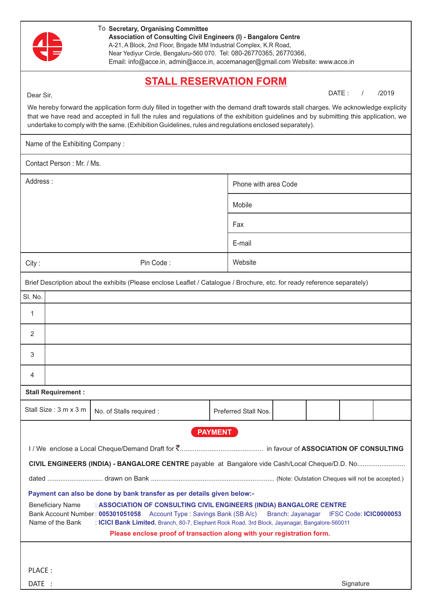|           |                                             | To Secretary, Organising Committee<br>Association of Consulting Civil Engineers (I) - Bangalore Centre<br>A-21, A Block, 2nd Floor, Brigade MM Industrial Complex, K.R Road,<br>Near Yediyur Circle, Bengaluru-560 070. Tel: 080-26770365, 26770366,<br>Email: info@acce.in, admin@acce.in, accemanager@gmail.com Website: www.acce.in                                                                                  |                      |       |                        |       |
|-----------|---------------------------------------------|-------------------------------------------------------------------------------------------------------------------------------------------------------------------------------------------------------------------------------------------------------------------------------------------------------------------------------------------------------------------------------------------------------------------------|----------------------|-------|------------------------|-------|
| Dear Sir, |                                             | <b>STALL RESERVATION FORM</b><br>We hereby forward the application form duly filled in together with the demand draft towards stall charges. We acknowledge explicity<br>that we have read and accepted in full the rules and regulations of the exhibition guidelines and by submitting this application, we<br>undertake to comply with the same. (Exhibition Guidelines, rules and regulations enclosed separately). |                      | DATE: |                        | /2019 |
|           | Name of the Exhibiting Company:             |                                                                                                                                                                                                                                                                                                                                                                                                                         |                      |       |                        |       |
|           | Contact Person: Mr. / Ms.                   |                                                                                                                                                                                                                                                                                                                                                                                                                         |                      |       |                        |       |
| Address:  |                                             |                                                                                                                                                                                                                                                                                                                                                                                                                         | Phone with area Code |       |                        |       |
|           |                                             |                                                                                                                                                                                                                                                                                                                                                                                                                         | Mobile               |       |                        |       |
|           |                                             |                                                                                                                                                                                                                                                                                                                                                                                                                         | Fax                  |       |                        |       |
|           |                                             |                                                                                                                                                                                                                                                                                                                                                                                                                         | E-mail               |       |                        |       |
| City:     |                                             | Pin Code:                                                                                                                                                                                                                                                                                                                                                                                                               | Website              |       |                        |       |
|           |                                             | Brief Description about the exhibits (Please enclose Leaflet / Catalogue / Brochure, etc. for ready reference separately)                                                                                                                                                                                                                                                                                               |                      |       |                        |       |
| SI. No.   |                                             |                                                                                                                                                                                                                                                                                                                                                                                                                         |                      |       |                        |       |
| 1         |                                             |                                                                                                                                                                                                                                                                                                                                                                                                                         |                      |       |                        |       |
| 2         |                                             |                                                                                                                                                                                                                                                                                                                                                                                                                         |                      |       |                        |       |
| 3         |                                             |                                                                                                                                                                                                                                                                                                                                                                                                                         |                      |       |                        |       |
| 4         |                                             |                                                                                                                                                                                                                                                                                                                                                                                                                         |                      |       |                        |       |
|           | <b>Stall Requirement:</b>                   |                                                                                                                                                                                                                                                                                                                                                                                                                         |                      |       |                        |       |
|           | Stall Size: 3 m x 3 m                       | No. of Stalls required :                                                                                                                                                                                                                                                                                                                                                                                                | Preferred Stall Nos. |       |                        |       |
|           | <b>Beneficiary Name</b><br>Name of the Bank | Payment can also be done by bank transfer as per details given below:-<br>: ASSOCIATION OF CONSULTING CIVIL ENGINEERS (INDIA) BANGALORE CENTRE<br>Bank Account Number: 005301051058 Account Type: Savings Bank (SB A/c) Branch: Jayanagar<br>: ICICI Bank Limited, Branch, 80-7, Elephant Rock Road, 3rd Block, Jayanagar, Bangalore-560011<br>Please enclose proof of transaction along with your registration form.   | <b>PAYMENT</b>       |       | IFSC Code: ICIC0000053 |       |
| PLACE:    |                                             |                                                                                                                                                                                                                                                                                                                                                                                                                         |                      |       |                        |       |
| DATE :    |                                             |                                                                                                                                                                                                                                                                                                                                                                                                                         |                      |       | Signature              |       |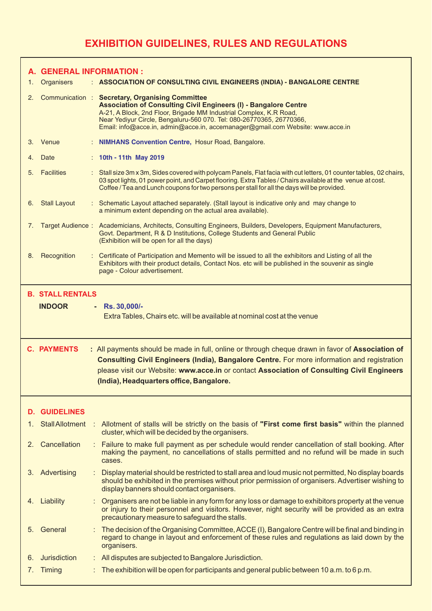## **EXHIBITION GUIDELINES, RULES AND REGULATIONS**

|    | A. GENERAL INFORMATION :                    |                                                                                                                                                                                                                                                                                                                                                   |
|----|---------------------------------------------|---------------------------------------------------------------------------------------------------------------------------------------------------------------------------------------------------------------------------------------------------------------------------------------------------------------------------------------------------|
| 1. | <b>Organisers</b>                           | : ASSOCIATION OF CONSULTING CIVIL ENGINEERS (INDIA) - BANGALORE CENTRE                                                                                                                                                                                                                                                                            |
| 2. | Communication :                             | <b>Secretary, Organising Committee</b><br><b>Association of Consulting Civil Engineers (I) - Bangalore Centre</b><br>A-21, A Block, 2nd Floor, Brigade MM Industrial Complex, K.R Road,<br>Near Yediyur Circle, Bengaluru-560 070. Tel: 080-26770365, 26770366,<br>Email: info@acce.in, admin@acce.in, accemanager@gmail.com Website: www.acce.in |
| 3. | Venue                                       | <b>NIMHANS Convention Centre, Hosur Road, Bangalore.</b>                                                                                                                                                                                                                                                                                          |
| 4. | Date                                        | : 10th - 11th May 2019                                                                                                                                                                                                                                                                                                                            |
| 5. | <b>Facilities</b>                           | : Stall size 3m x 3m, Sides covered with polycam Panels, Flat facia with cut letters, 01 counter tables, 02 chairs,<br>03 spot lights, 01 power point, and Carpet flooring. Extra Tables / Chairs available at the venue at cost.<br>Coffee / Tea and Lunch coupons for two persons per stall for all the days will be provided.                  |
| 6. | <b>Stall Layout</b>                         | : Schematic Layout attached separately. (Stall layout is indicative only and may change to<br>a minimum extent depending on the actual area available).                                                                                                                                                                                           |
| 7. |                                             | Target Audience: Academicians, Architects, Consulting Engineers, Builders, Developers, Equipment Manufacturers,<br>Govt. Department, R & D Institutions, College Students and General Public<br>(Exhibition will be open for all the days)                                                                                                        |
| 8. | Recognition                                 | : Certificate of Participation and Memento will be issued to all the exhibitors and Listing of all the<br>Exhibitors with their product details, Contact Nos. etc will be published in the souvenir as single<br>page - Colour advertisement.                                                                                                     |
|    | <b>B. STALL RENTALS</b>                     |                                                                                                                                                                                                                                                                                                                                                   |
|    | <b>INDOOR</b>                               | Rs. 30,000/-<br>٠<br>Extra Tables, Chairs etc. will be available at nominal cost at the venue                                                                                                                                                                                                                                                     |
|    |                                             |                                                                                                                                                                                                                                                                                                                                                   |
|    | <b>C. PAYMENTS</b>                          | : All payments should be made in full, online or through cheque drawn in favor of Association of<br><b>Consulting Civil Engineers (India), Bangalore Centre.</b> For more information and registration<br>please visit our Website: www.acce.in or contact Association of Consulting Civil Engineers<br>(India), Headquarters office, Bangalore.  |
| D. |                                             |                                                                                                                                                                                                                                                                                                                                                   |
| 1. | <b>GUIDELINES</b><br><b>Stall Allotment</b> | : Allotment of stalls will be strictly on the basis of "First come first basis" within the planned<br>cluster, which will be decided by the organisers.                                                                                                                                                                                           |
| 2. | Cancellation                                | : Failure to make full payment as per schedule would render cancellation of stall booking. After<br>making the payment, no cancellations of stalls permitted and no refund will be made in such<br>cases.                                                                                                                                         |
| З. | Advertising                                 | Display material should be restricted to stall area and loud music not permitted, No display boards<br>should be exhibited in the premises without prior permission of organisers. Advertiser wishing to<br>display banners should contact organisers.                                                                                            |
| 4. | Liability                                   | Organisers are not be liable in any form for any loss or damage to exhibitors property at the venue<br>or injury to their personnel and visitors. However, night security will be provided as an extra<br>precautionary measure to safeguard the stalls.                                                                                          |
| 5. | General                                     | : The decision of the Organising Committee, ACCE (I), Bangalore Centre will be final and binding in<br>regard to change in layout and enforcement of these rules and regulations as laid down by the<br>organisers.                                                                                                                               |
| 6. | <b>Jurisdiction</b>                         | : All disputes are subjected to Bangalore Jurisdiction.                                                                                                                                                                                                                                                                                           |